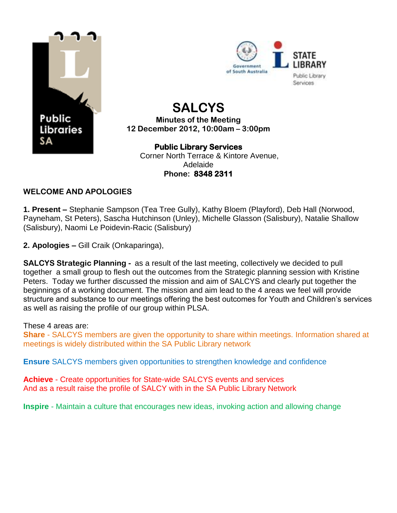



# **SALCYS**

**Minutes of the Meeting 12 December 2012, 10:00am – 3:00pm**

#### **Public Library Services**  Corner North Terrace & Kintore Avenue, Adelaide

**Phone: 8348 2311** 

# **WELCOME AND APOLOGIES**

**1. Present –** Stephanie Sampson (Tea Tree Gully), Kathy Bloem (Playford), Deb Hall (Norwood, Payneham, St Peters), Sascha Hutchinson (Unley), Michelle Glasson (Salisbury), Natalie Shallow (Salisbury), Naomi Le Poidevin-Racic (Salisbury)

**2. Apologies –** Gill Craik (Onkaparinga),

**SALCYS Strategic Planning -** as a result of the last meeting, collectively we decided to pull together a small group to flesh out the outcomes from the Strategic planning session with Kristine Peters. Today we further discussed the mission and aim of SALCYS and clearly put together the beginnings of a working document. The mission and aim lead to the 4 areas we feel will provide structure and substance to our meetings offering the best outcomes for Youth and Children's services as well as raising the profile of our group within PLSA.

## These 4 areas are:

**Share** - SALCYS members are given the opportunity to share within meetings. Information shared at meetings is widely distributed within the SA Public Library network

**Ensure** SALCYS members given opportunities to strengthen knowledge and confidence

**Achieve** - Create opportunities for State-wide SALCYS events and services And as a result raise the profile of SALCY with in the SA Public Library Network

**Inspire** - Maintain a culture that encourages new ideas, invoking action and allowing change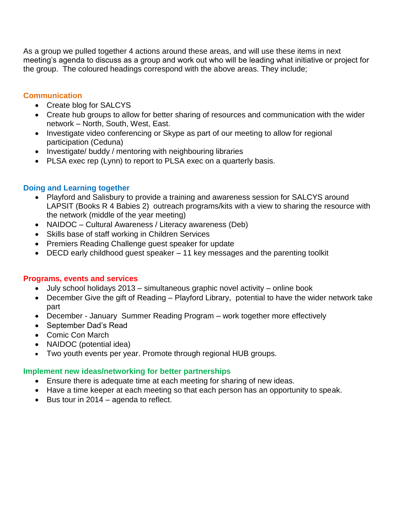As a group we pulled together 4 actions around these areas, and will use these items in next meeting's agenda to discuss as a group and work out who will be leading what initiative or project for the group. The coloured headings correspond with the above areas. They include;

#### **Communication**

- Create blog for SALCYS
- Create hub groups to allow for better sharing of resources and communication with the wider network – North, South, West, East.
- Investigate video conferencing or Skype as part of our meeting to allow for regional participation (Ceduna)
- Investigate/ buddy / mentoring with neighbouring libraries
- PLSA exec rep (Lynn) to report to PLSA exec on a quarterly basis.

#### **Doing and Learning together**

- Playford and Salisbury to provide a training and awareness session for SALCYS around LAPSIT (Books R 4 Babies 2) outreach programs/kits with a view to sharing the resource with the network (middle of the year meeting)
- NAIDOC Cultural Awareness / Literacy awareness (Deb)
- Skills base of staff working in Children Services
- Premiers Reading Challenge quest speaker for update
- DECD early childhood guest speaker 11 key messages and the parenting toolkit

#### **Programs, events and services**

- July school holidays 2013 simultaneous graphic novel activity online book
- December Give the gift of Reading Playford Library, potential to have the wider network take part
- December January Summer Reading Program work together more effectively
- September Dad's Read
- Comic Con March
- NAIDOC (potential idea)
- Two youth events per year. Promote through regional HUB groups.

#### **Implement new ideas/networking for better partnerships**

- Ensure there is adequate time at each meeting for sharing of new ideas.
- Have a time keeper at each meeting so that each person has an opportunity to speak.
- $\bullet$  Bus tour in 2014 agenda to reflect.